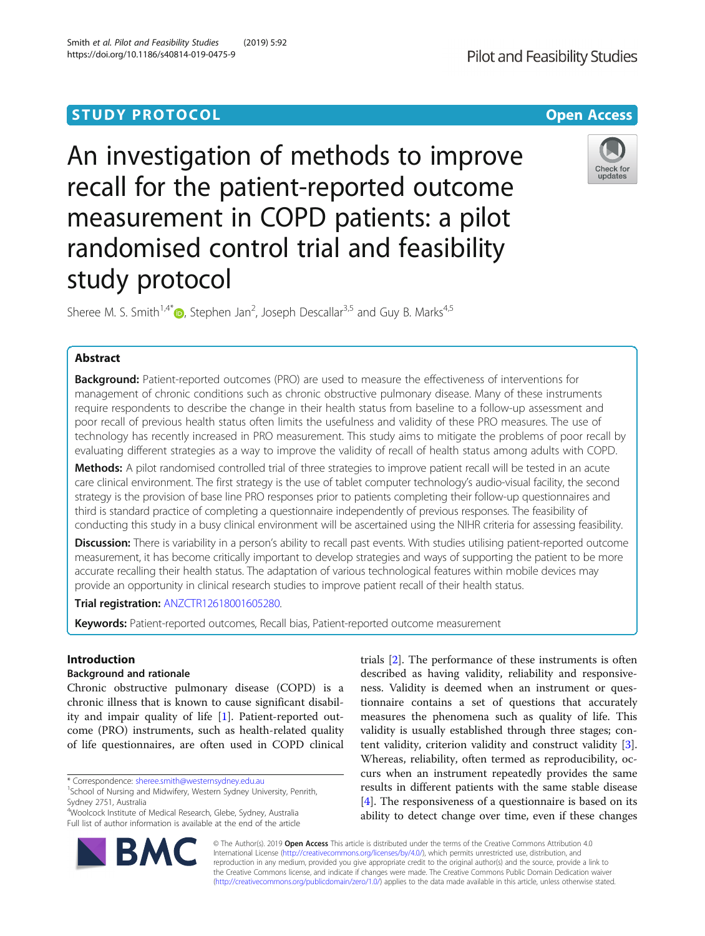# **STUDY PROTOCOL CONSUMING THE RESERVE ACCESS**

An investigation of methods to improve recall for the patient-reported outcome measurement in COPD patients: a pilot randomised control trial and feasibility study protocol

Sheree M. S. Smith<sup>1[,](http://orcid.org/0000-0002-7469-1022)4\*</sup> $\bullet$ , Stephen Jan<sup>2</sup>, Joseph Descallar<sup>3,5</sup> and Guy B. Marks<sup>4,5</sup>

# Abstract

**Background:** Patient-reported outcomes (PRO) are used to measure the effectiveness of interventions for management of chronic conditions such as chronic obstructive pulmonary disease. Many of these instruments require respondents to describe the change in their health status from baseline to a follow-up assessment and poor recall of previous health status often limits the usefulness and validity of these PRO measures. The use of technology has recently increased in PRO measurement. This study aims to mitigate the problems of poor recall by evaluating different strategies as a way to improve the validity of recall of health status among adults with COPD.

Methods: A pilot randomised controlled trial of three strategies to improve patient recall will be tested in an acute care clinical environment. The first strategy is the use of tablet computer technology's audio-visual facility, the second strategy is the provision of base line PRO responses prior to patients completing their follow-up questionnaires and third is standard practice of completing a questionnaire independently of previous responses. The feasibility of conducting this study in a busy clinical environment will be ascertained using the NIHR criteria for assessing feasibility.

Discussion: There is variability in a person's ability to recall past events. With studies utilising patient-reported outcome measurement, it has become critically important to develop strategies and ways of supporting the patient to be more accurate recalling their health status. The adaptation of various technological features within mobile devices may provide an opportunity in clinical research studies to improve patient recall of their health status.

Trial registration: [ANZCTR12618001605280](https://www.anzctr.org.au/Trial/Registration/TrialReview.aspx?id=375887&isReview=true).

Keywords: Patient-reported outcomes, Recall bias, Patient-reported outcome measurement

# Introduction

# Background and rationale

Chronic obstructive pulmonary disease (COPD) is a chronic illness that is known to cause significant disability and impair quality of life [\[1](#page-6-0)]. Patient-reported outcome (PRO) instruments, such as health-related quality of life questionnaires, are often used in COPD clinical

4 Woolcock Institute of Medical Research, Glebe, Sydney, Australia Full list of author information is available at the end of the article

trials [\[2](#page-6-0)]. The performance of these instruments is often described as having validity, reliability and responsiveness. Validity is deemed when an instrument or questionnaire contains a set of questions that accurately measures the phenomena such as quality of life. This validity is usually established through three stages; content validity, criterion validity and construct validity [\[3](#page-6-0)]. Whereas, reliability, often termed as reproducibility, occurs when an instrument repeatedly provides the same results in different patients with the same stable disease [[4\]](#page-6-0). The responsiveness of a questionnaire is based on its ability to detect change over time, even if these changes

© The Author(s). 2019 Open Access This article is distributed under the terms of the Creative Commons Attribution 4.0 International License [\(http://creativecommons.org/licenses/by/4.0/](http://creativecommons.org/licenses/by/4.0/)), which permits unrestricted use, distribution, and reproduction in any medium, provided you give appropriate credit to the original author(s) and the source, provide a link to the Creative Commons license, and indicate if changes were made. The Creative Commons Public Domain Dedication waiver [\(http://creativecommons.org/publicdomain/zero/1.0/](http://creativecommons.org/publicdomain/zero/1.0/)) applies to the data made available in this article, unless otherwise stated.







<sup>&</sup>lt;sup>1</sup>School of Nursing and Midwifery, Western Sydney University, Penrith, Sydney 2751, Australia

<sup>\*</sup> Correspondence: [sheree.smith@westernsydney.edu.au](mailto:sheree.smith@westernsydney.edu.au) <sup>1</sup>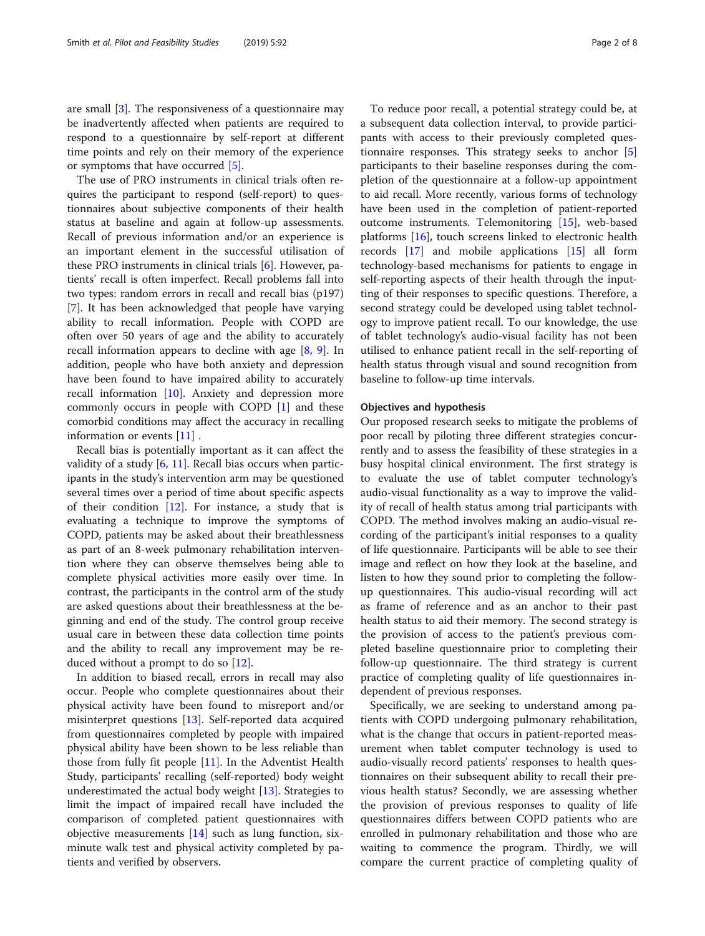are small [\[3](#page-6-0)]. The responsiveness of a questionnaire may be inadvertently affected when patients are required to respond to a questionnaire by self-report at different time points and rely on their memory of the experience or symptoms that have occurred [[5\]](#page-6-0).

The use of PRO instruments in clinical trials often requires the participant to respond (self-report) to questionnaires about subjective components of their health status at baseline and again at follow-up assessments. Recall of previous information and/or an experience is an important element in the successful utilisation of these PRO instruments in clinical trials [\[6](#page-6-0)]. However, patients' recall is often imperfect. Recall problems fall into two types: random errors in recall and recall bias (p197) [[7\]](#page-6-0). It has been acknowledged that people have varying ability to recall information. People with COPD are often over 50 years of age and the ability to accurately recall information appears to decline with age  $[8, 9]$  $[8, 9]$  $[8, 9]$  $[8, 9]$ . In addition, people who have both anxiety and depression have been found to have impaired ability to accurately recall information [[10](#page-6-0)]. Anxiety and depression more commonly occurs in people with COPD [\[1](#page-6-0)] and these comorbid conditions may affect the accuracy in recalling information or events [[11\]](#page-6-0) .

Recall bias is potentially important as it can affect the validity of a study  $[6, 11]$  $[6, 11]$  $[6, 11]$ . Recall bias occurs when participants in the study's intervention arm may be questioned several times over a period of time about specific aspects of their condition  $[12]$  $[12]$ . For instance, a study that is evaluating a technique to improve the symptoms of COPD, patients may be asked about their breathlessness as part of an 8-week pulmonary rehabilitation intervention where they can observe themselves being able to complete physical activities more easily over time. In contrast, the participants in the control arm of the study are asked questions about their breathlessness at the beginning and end of the study. The control group receive usual care in between these data collection time points and the ability to recall any improvement may be reduced without a prompt to do so [[12\]](#page-6-0).

In addition to biased recall, errors in recall may also occur. People who complete questionnaires about their physical activity have been found to misreport and/or misinterpret questions [\[13](#page-6-0)]. Self-reported data acquired from questionnaires completed by people with impaired physical ability have been shown to be less reliable than those from fully fit people  $[11]$  $[11]$ . In the Adventist Health Study, participants' recalling (self-reported) body weight underestimated the actual body weight [[13\]](#page-6-0). Strategies to limit the impact of impaired recall have included the comparison of completed patient questionnaires with objective measurements [[14\]](#page-6-0) such as lung function, sixminute walk test and physical activity completed by patients and verified by observers.

To reduce poor recall, a potential strategy could be, at a subsequent data collection interval, to provide participants with access to their previously completed questionnaire responses. This strategy seeks to anchor [\[5](#page-6-0)] participants to their baseline responses during the completion of the questionnaire at a follow-up appointment to aid recall. More recently, various forms of technology have been used in the completion of patient-reported outcome instruments. Telemonitoring [\[15\]](#page-6-0), web-based platforms [\[16](#page-6-0)], touch screens linked to electronic health records [\[17](#page-6-0)] and mobile applications [[15\]](#page-6-0) all form technology-based mechanisms for patients to engage in self-reporting aspects of their health through the inputting of their responses to specific questions. Therefore, a second strategy could be developed using tablet technology to improve patient recall. To our knowledge, the use of tablet technology's audio-visual facility has not been utilised to enhance patient recall in the self-reporting of health status through visual and sound recognition from baseline to follow-up time intervals.

### Objectives and hypothesis

Our proposed research seeks to mitigate the problems of poor recall by piloting three different strategies concurrently and to assess the feasibility of these strategies in a busy hospital clinical environment. The first strategy is to evaluate the use of tablet computer technology's audio-visual functionality as a way to improve the validity of recall of health status among trial participants with COPD. The method involves making an audio-visual recording of the participant's initial responses to a quality of life questionnaire. Participants will be able to see their image and reflect on how they look at the baseline, and listen to how they sound prior to completing the followup questionnaires. This audio-visual recording will act as frame of reference and as an anchor to their past health status to aid their memory. The second strategy is the provision of access to the patient's previous completed baseline questionnaire prior to completing their follow-up questionnaire. The third strategy is current practice of completing quality of life questionnaires independent of previous responses.

Specifically, we are seeking to understand among patients with COPD undergoing pulmonary rehabilitation, what is the change that occurs in patient-reported measurement when tablet computer technology is used to audio-visually record patients' responses to health questionnaires on their subsequent ability to recall their previous health status? Secondly, we are assessing whether the provision of previous responses to quality of life questionnaires differs between COPD patients who are enrolled in pulmonary rehabilitation and those who are waiting to commence the program. Thirdly, we will compare the current practice of completing quality of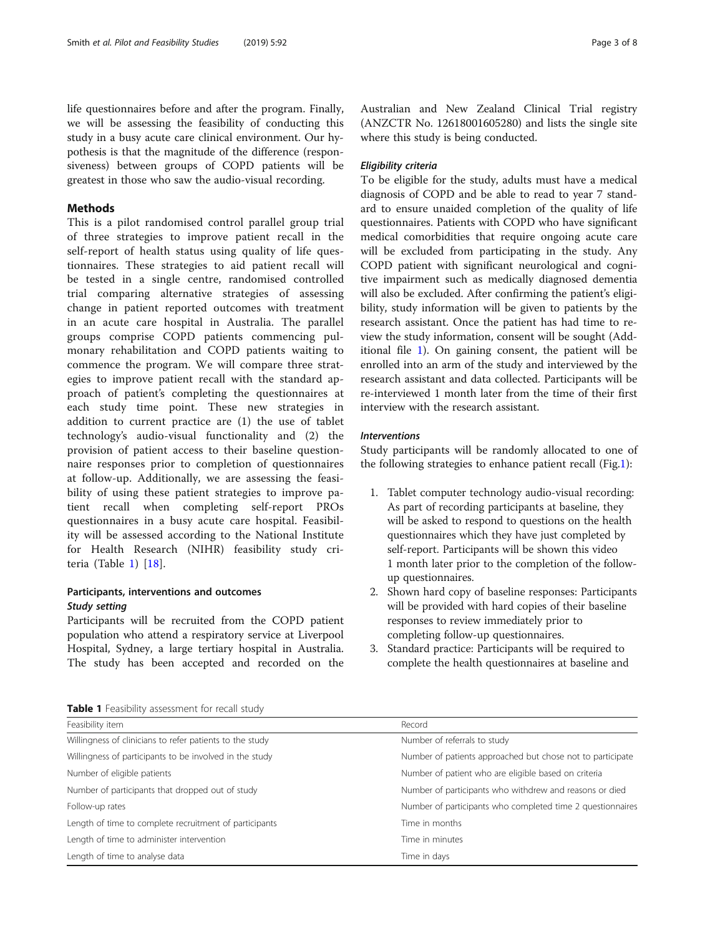<span id="page-2-0"></span>life questionnaires before and after the program. Finally, we will be assessing the feasibility of conducting this study in a busy acute care clinical environment. Our hypothesis is that the magnitude of the difference (responsiveness) between groups of COPD patients will be greatest in those who saw the audio-visual recording.

# Methods

This is a pilot randomised control parallel group trial of three strategies to improve patient recall in the self-report of health status using quality of life questionnaires. These strategies to aid patient recall will be tested in a single centre, randomised controlled trial comparing alternative strategies of assessing change in patient reported outcomes with treatment in an acute care hospital in Australia. The parallel groups comprise COPD patients commencing pulmonary rehabilitation and COPD patients waiting to commence the program. We will compare three strategies to improve patient recall with the standard approach of patient's completing the questionnaires at each study time point. These new strategies in addition to current practice are (1) the use of tablet technology's audio-visual functionality and (2) the provision of patient access to their baseline questionnaire responses prior to completion of questionnaires at follow-up. Additionally, we are assessing the feasibility of using these patient strategies to improve patient recall when completing self-report PROs questionnaires in a busy acute care hospital. Feasibility will be assessed according to the National Institute for Health Research (NIHR) feasibility study criteria (Table 1) [\[18\]](#page-7-0).

# Participants, interventions and outcomes Study setting

Participants will be recruited from the COPD patient population who attend a respiratory service at Liverpool Hospital, Sydney, a large tertiary hospital in Australia. The study has been accepted and recorded on the

Australian and New Zealand Clinical Trial registry (ANZCTR No. 12618001605280) and lists the single site where this study is being conducted.

# Eligibility criteria

To be eligible for the study, adults must have a medical diagnosis of COPD and be able to read to year 7 standard to ensure unaided completion of the quality of life questionnaires. Patients with COPD who have significant medical comorbidities that require ongoing acute care will be excluded from participating in the study. Any COPD patient with significant neurological and cognitive impairment such as medically diagnosed dementia will also be excluded. After confirming the patient's eligibility, study information will be given to patients by the research assistant. Once the patient has had time to review the study information, consent will be sought (Additional file [1](#page-6-0)). On gaining consent, the patient will be enrolled into an arm of the study and interviewed by the research assistant and data collected. Participants will be re-interviewed 1 month later from the time of their first interview with the research assistant.

# Interventions

Study participants will be randomly allocated to one of the following strategies to enhance patient recall (Fig[.1](#page-3-0)):

- 1. Tablet computer technology audio-visual recording: As part of recording participants at baseline, they will be asked to respond to questions on the health questionnaires which they have just completed by self-report. Participants will be shown this video 1 month later prior to the completion of the followup questionnaires.
- 2. Shown hard copy of baseline responses: Participants will be provided with hard copies of their baseline responses to review immediately prior to completing follow-up questionnaires.
- 3. Standard practice: Participants will be required to complete the health questionnaires at baseline and

| Feasibility item                                         | Record                                                     |
|----------------------------------------------------------|------------------------------------------------------------|
| Willingness of clinicians to refer patients to the study | Number of referrals to study                               |
| Willingness of participants to be involved in the study  | Number of patients approached but chose not to participate |
| Number of eligible patients                              | Number of patient who are eligible based on criteria       |
| Number of participants that dropped out of study         | Number of participants who withdrew and reasons or died    |
| Follow-up rates                                          | Number of participants who completed time 2 questionnaires |
| Length of time to complete recruitment of participants   | Time in months                                             |
| Length of time to administer intervention                | Time in minutes                                            |
| Length of time to analyse data                           | Time in days                                               |
|                                                          |                                                            |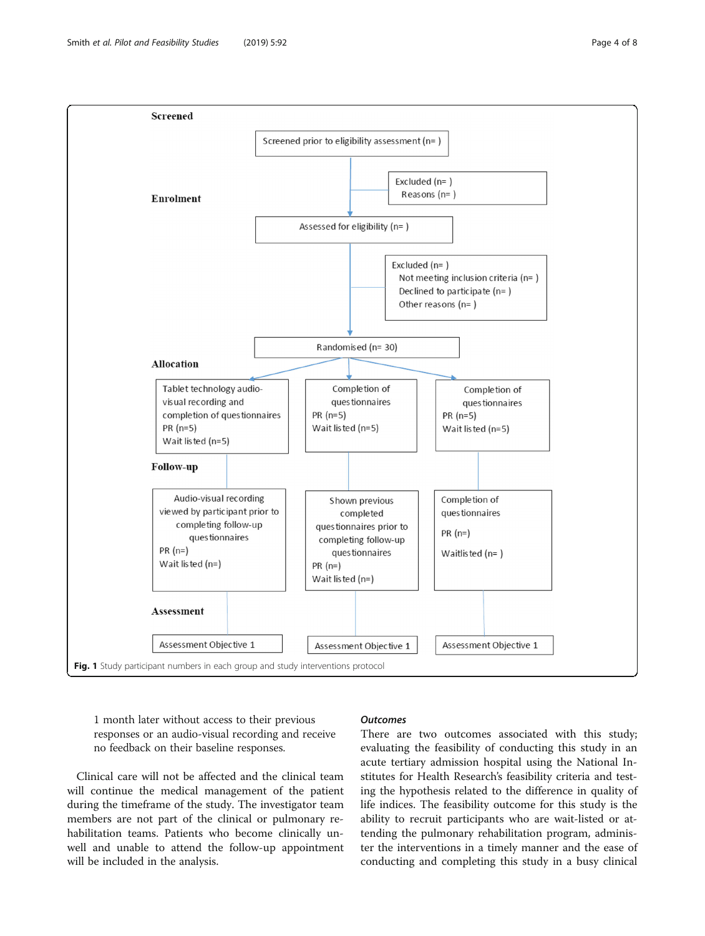<span id="page-3-0"></span>

1 month later without access to their previous responses or an audio-visual recording and receive no feedback on their baseline responses.

Clinical care will not be affected and the clinical team will continue the medical management of the patient during the timeframe of the study. The investigator team members are not part of the clinical or pulmonary rehabilitation teams. Patients who become clinically unwell and unable to attend the follow-up appointment will be included in the analysis.

# **Outcomes**

There are two outcomes associated with this study; evaluating the feasibility of conducting this study in an acute tertiary admission hospital using the National Institutes for Health Research's feasibility criteria and testing the hypothesis related to the difference in quality of life indices. The feasibility outcome for this study is the ability to recruit participants who are wait-listed or attending the pulmonary rehabilitation program, administer the interventions in a timely manner and the ease of conducting and completing this study in a busy clinical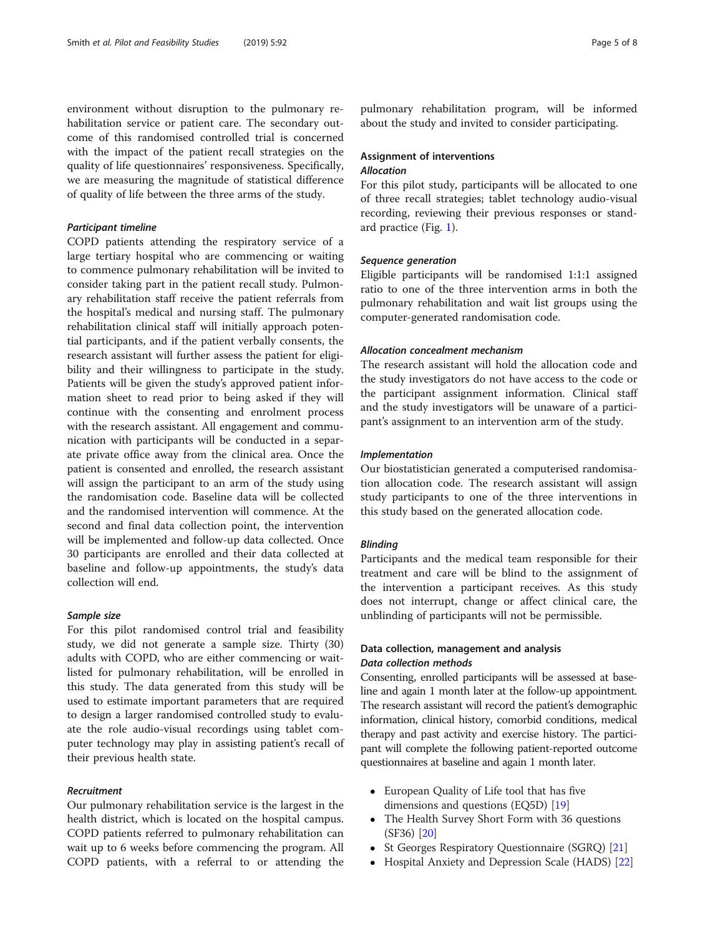environment without disruption to the pulmonary rehabilitation service or patient care. The secondary outcome of this randomised controlled trial is concerned with the impact of the patient recall strategies on the quality of life questionnaires' responsiveness. Specifically, we are measuring the magnitude of statistical difference of quality of life between the three arms of the study.

## Participant timeline

COPD patients attending the respiratory service of a large tertiary hospital who are commencing or waiting to commence pulmonary rehabilitation will be invited to consider taking part in the patient recall study. Pulmonary rehabilitation staff receive the patient referrals from the hospital's medical and nursing staff. The pulmonary rehabilitation clinical staff will initially approach potential participants, and if the patient verbally consents, the research assistant will further assess the patient for eligibility and their willingness to participate in the study. Patients will be given the study's approved patient information sheet to read prior to being asked if they will continue with the consenting and enrolment process with the research assistant. All engagement and communication with participants will be conducted in a separate private office away from the clinical area. Once the patient is consented and enrolled, the research assistant will assign the participant to an arm of the study using the randomisation code. Baseline data will be collected and the randomised intervention will commence. At the second and final data collection point, the intervention will be implemented and follow-up data collected. Once 30 participants are enrolled and their data collected at baseline and follow-up appointments, the study's data collection will end.

#### Sample size

For this pilot randomised control trial and feasibility study, we did not generate a sample size. Thirty (30) adults with COPD, who are either commencing or waitlisted for pulmonary rehabilitation, will be enrolled in this study. The data generated from this study will be used to estimate important parameters that are required to design a larger randomised controlled study to evaluate the role audio-visual recordings using tablet computer technology may play in assisting patient's recall of their previous health state.

#### Recruitment

Our pulmonary rehabilitation service is the largest in the health district, which is located on the hospital campus. COPD patients referred to pulmonary rehabilitation can wait up to 6 weeks before commencing the program. All COPD patients, with a referral to or attending the

pulmonary rehabilitation program, will be informed about the study and invited to consider participating.

## Assignment of interventions Allocation

For this pilot study, participants will be allocated to one of three recall strategies; tablet technology audio-visual recording, reviewing their previous responses or standard practice (Fig. [1\)](#page-3-0).

# Sequence generation

Eligible participants will be randomised 1:1:1 assigned ratio to one of the three intervention arms in both the pulmonary rehabilitation and wait list groups using the computer-generated randomisation code.

## Allocation concealment mechanism

The research assistant will hold the allocation code and the study investigators do not have access to the code or the participant assignment information. Clinical staff and the study investigators will be unaware of a participant's assignment to an intervention arm of the study.

### Implementation

Our biostatistician generated a computerised randomisation allocation code. The research assistant will assign study participants to one of the three interventions in this study based on the generated allocation code.

#### Blinding

Participants and the medical team responsible for their treatment and care will be blind to the assignment of the intervention a participant receives. As this study does not interrupt, change or affect clinical care, the unblinding of participants will not be permissible.

# Data collection, management and analysis Data collection methods

Consenting, enrolled participants will be assessed at baseline and again 1 month later at the follow-up appointment. The research assistant will record the patient's demographic information, clinical history, comorbid conditions, medical therapy and past activity and exercise history. The participant will complete the following patient-reported outcome questionnaires at baseline and again 1 month later.

- European Quality of Life tool that has five dimensions and questions (EQ5D) [[19\]](#page-7-0)
- The Health Survey Short Form with 36 questions (SF36) [[20](#page-7-0)]
- St Georges Respiratory Questionnaire (SGRQ) [[21\]](#page-7-0)
- Hospital Anxiety and Depression Scale (HADS) [[22](#page-7-0)]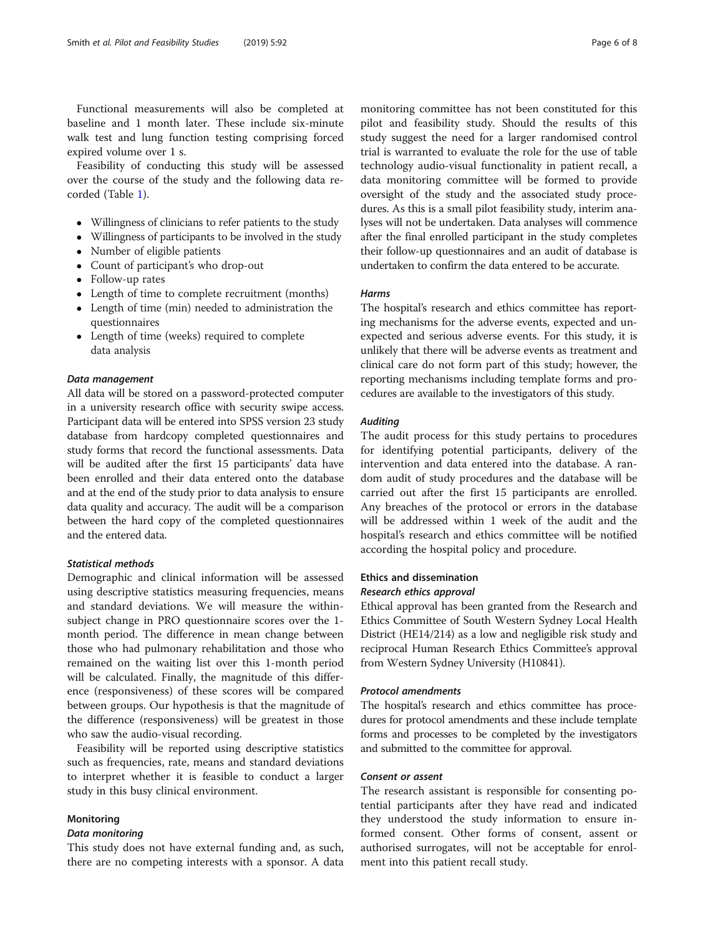Functional measurements will also be completed at baseline and 1 month later. These include six-minute walk test and lung function testing comprising forced expired volume over 1 s.

Feasibility of conducting this study will be assessed over the course of the study and the following data recorded (Table [1\)](#page-2-0).

- Willingness of clinicians to refer patients to the study
- Willingness of participants to be involved in the study
- Number of eligible patients
- Count of participant's who drop-out
- Follow-up rates
- Length of time to complete recruitment (months)
- Length of time (min) needed to administration the questionnaires
- Length of time (weeks) required to complete data analysis

## Data management

All data will be stored on a password-protected computer in a university research office with security swipe access. Participant data will be entered into SPSS version 23 study database from hardcopy completed questionnaires and study forms that record the functional assessments. Data will be audited after the first 15 participants' data have been enrolled and their data entered onto the database and at the end of the study prior to data analysis to ensure data quality and accuracy. The audit will be a comparison between the hard copy of the completed questionnaires and the entered data.

# Statistical methods

Demographic and clinical information will be assessed using descriptive statistics measuring frequencies, means and standard deviations. We will measure the withinsubject change in PRO questionnaire scores over the 1 month period. The difference in mean change between those who had pulmonary rehabilitation and those who remained on the waiting list over this 1-month period will be calculated. Finally, the magnitude of this difference (responsiveness) of these scores will be compared between groups. Our hypothesis is that the magnitude of the difference (responsiveness) will be greatest in those who saw the audio-visual recording.

Feasibility will be reported using descriptive statistics such as frequencies, rate, means and standard deviations to interpret whether it is feasible to conduct a larger study in this busy clinical environment.

## Monitoring

#### Data monitoring

This study does not have external funding and, as such, there are no competing interests with a sponsor. A data

monitoring committee has not been constituted for this pilot and feasibility study. Should the results of this study suggest the need for a larger randomised control trial is warranted to evaluate the role for the use of table technology audio-visual functionality in patient recall, a data monitoring committee will be formed to provide oversight of the study and the associated study procedures. As this is a small pilot feasibility study, interim analyses will not be undertaken. Data analyses will commence after the final enrolled participant in the study completes their follow-up questionnaires and an audit of database is undertaken to confirm the data entered to be accurate.

#### **Harms**

The hospital's research and ethics committee has reporting mechanisms for the adverse events, expected and unexpected and serious adverse events. For this study, it is unlikely that there will be adverse events as treatment and clinical care do not form part of this study; however, the reporting mechanisms including template forms and procedures are available to the investigators of this study.

## **Auditing**

The audit process for this study pertains to procedures for identifying potential participants, delivery of the intervention and data entered into the database. A random audit of study procedures and the database will be carried out after the first 15 participants are enrolled. Any breaches of the protocol or errors in the database will be addressed within 1 week of the audit and the hospital's research and ethics committee will be notified according the hospital policy and procedure.

# Ethics and dissemination

## Research ethics approval

Ethical approval has been granted from the Research and Ethics Committee of South Western Sydney Local Health District (HE14/214) as a low and negligible risk study and reciprocal Human Research Ethics Committee's approval from Western Sydney University (H10841).

### Protocol amendments

The hospital's research and ethics committee has procedures for protocol amendments and these include template forms and processes to be completed by the investigators and submitted to the committee for approval.

## Consent or assent

The research assistant is responsible for consenting potential participants after they have read and indicated they understood the study information to ensure informed consent. Other forms of consent, assent or authorised surrogates, will not be acceptable for enrolment into this patient recall study.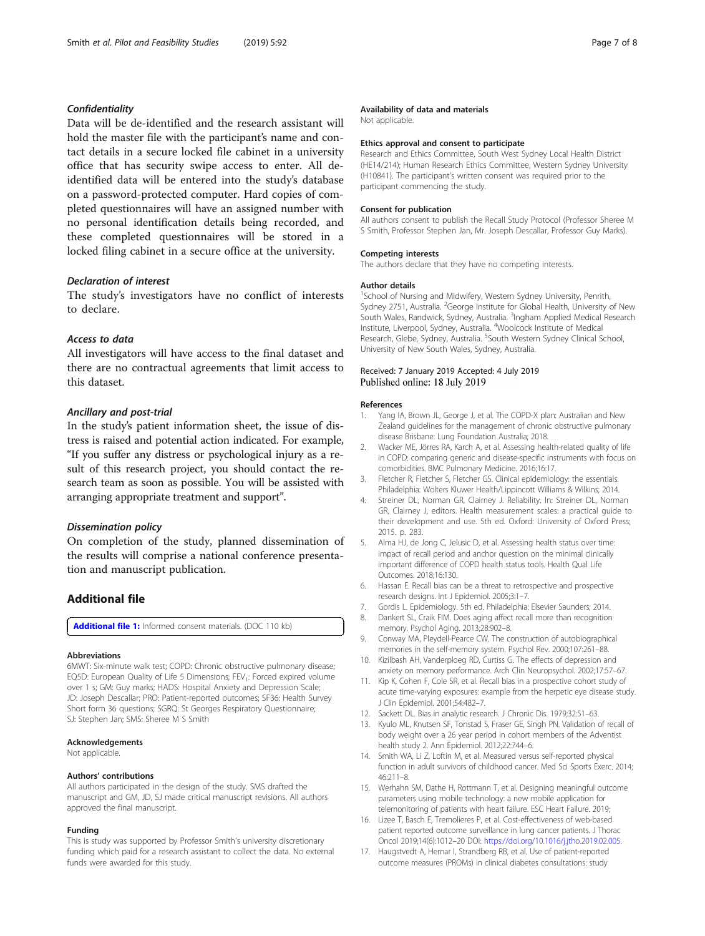## <span id="page-6-0"></span>**Confidentiality**

Data will be de-identified and the research assistant will hold the master file with the participant's name and contact details in a secure locked file cabinet in a university office that has security swipe access to enter. All deidentified data will be entered into the study's database on a password-protected computer. Hard copies of completed questionnaires will have an assigned number with no personal identification details being recorded, and these completed questionnaires will be stored in a locked filing cabinet in a secure office at the university.

## Declaration of interest

The study's investigators have no conflict of interests to declare.

#### Access to data

All investigators will have access to the final dataset and there are no contractual agreements that limit access to this dataset.

## Ancillary and post-trial

In the study's patient information sheet, the issue of distress is raised and potential action indicated. For example, "If you suffer any distress or psychological injury as a result of this research project, you should contact the research team as soon as possible. You will be assisted with arranging appropriate treatment and support".

#### Dissemination policy

On completion of the study, planned dissemination of the results will comprise a national conference presentation and manuscript publication.

# Additional file

[Additional file 1:](https://doi.org/10.1186/s40814-019-0475-9) Informed consent materials. (DOC 110 kb)

#### Abbreviations

6MWT: Six-minute walk test; COPD: Chronic obstructive pulmonary disease; EQ5D: European Quality of Life 5 Dimensions; FEV<sub>1</sub>: Forced expired volume over 1 s; GM: Guy marks; HADS: Hospital Anxiety and Depression Scale; JD: Joseph Descallar; PRO: Patient-reported outcomes; SF36: Health Survey Short form 36 questions; SGRQ: St Georges Respiratory Questionnaire; SJ: Stephen Jan; SMS: Sheree M S Smith

#### Acknowledgements

Not applicable

#### Authors' contributions

All authors participated in the design of the study. SMS drafted the manuscript and GM, JD, SJ made critical manuscript revisions. All authors approved the final manuscript.

#### Funding

This is study was supported by Professor Smith's university discretionary funding which paid for a research assistant to collect the data. No external funds were awarded for this study.

#### Availability of data and materials

Not applicable.

#### Ethics approval and consent to participate

Research and Ethics Committee, South West Sydney Local Health District (HE14/214); Human Research Ethics Committee, Western Sydney University (H10841). The participant's written consent was required prior to the participant commencing the study.

#### Consent for publication

All authors consent to publish the Recall Study Protocol (Professor Sheree M S Smith, Professor Stephen Jan, Mr. Joseph Descallar, Professor Guy Marks).

#### Competing interests

The authors declare that they have no competing interests.

#### Author details

<sup>1</sup>School of Nursing and Midwifery, Western Sydney University, Penrith, Sydney 2751, Australia. <sup>2</sup>George Institute for Global Health, University of New South Wales, Randwick, Sydney, Australia. <sup>3</sup>Ingham Applied Medical Research Institute, Liverpool, Sydney, Australia. <sup>4</sup>Woolcock Institute of Medical Research, Glebe, Sydney, Australia. <sup>5</sup>South Western Sydney Clinical School University of New South Wales, Sydney, Australia.

#### Received: 7 January 2019 Accepted: 4 July 2019 Published online: 18 July 2019

#### References

- 1. Yang IA, Brown JL, George J, et al. The COPD-X plan: Australian and New Zealand guidelines for the management of chronic obstructive pulmonary disease Brisbane: Lung Foundation Australia; 2018.
- 2. Wacker ME, Jörres RA, Karch A, et al. Assessing health-related quality of life in COPD: comparing generic and disease-specific instruments with focus on comorbidities. BMC Pulmonary Medicine. 2016;16:17.
- 3. Fletcher R, Fletcher S, Fletcher GS. Clinical epidemiology: the essentials. Philadelphia: Wolters Kluwer Health/Lippincott Williams & Wilkins; 2014.
- 4. Streiner DL, Norman GR, Clairney J. Reliability. In: Streiner DL, Norman GR, Clairney J, editors. Health measurement scales: a practical guide to their development and use. 5th ed. Oxford: University of Oxford Press; 2015. p. 283.
- 5. Alma HJ, de Jong C, Jelusic D, et al. Assessing health status over time: impact of recall period and anchor question on the minimal clinically important difference of COPD health status tools. Health Qual Life Outcomes. 2018;16:130.
- 6. Hassan E. Recall bias can be a threat to retrospective and prospective research designs. Int J Epidemiol. 2005;3:1–7.
- 7. Gordis L. Epidemiology. 5th ed. Philadelphia: Elsevier Saunders; 2014.
- 8. Dankert SL, Craik FIM. Does aging affect recall more than recognition memory. Psychol Aging. 2013;28:902–8.
- 9. Conway MA, Pleydell-Pearce CW. The construction of autobiographical memories in the self-memory system. Psychol Rev. 2000;107:261–88.
- 10. Kizilbash AH, Vanderploeg RD, Curtiss G. The effects of depression and anxiety on memory performance. Arch Clin Neuropsychol. 2002;17:57–67.
- 11. Kip K, Cohen F, Cole SR, et al. Recall bias in a prospective cohort study of acute time-varying exposures: example from the herpetic eye disease study. J Clin Epidemiol. 2001;54:482–7.
- 12. Sackett DL. Bias in analytic research. J Chronic Dis. 1979;32:51–63.
- 13. Kyulo ML, Knutsen SF, Tonstad S, Fraser GE, Singh PN. Validation of recall of body weight over a 26 year period in cohort members of the Adventist health study 2. Ann Epidemiol. 2012;22:744–6.
- 14. Smith WA, Li Z, Loftin M, et al. Measured versus self-reported physical function in adult survivors of childhood cancer. Med Sci Sports Exerc. 2014; 46:211–8.
- 15. Werhahn SM, Dathe H, Rottmann T, et al. Designing meaningful outcome parameters using mobile technology: a new mobile application for telemonitoring of patients with heart failure. ESC Heart Failure. 2019;
- 16. Lizee T, Basch E, Tremolieres P, et al. Cost-effectiveness of web-based patient reported outcome surveillance in lung cancer patients. J Thorac Oncol 2019;14(6):1012–20 DOI: <https://doi.org/10.1016/j.jtho.2019.02.005>.
- 17. Haugstvedt A, Hernar I, Strandberg RB, et al. Use of patient-reported outcome measures (PROMs) in clinical diabetes consultations: study